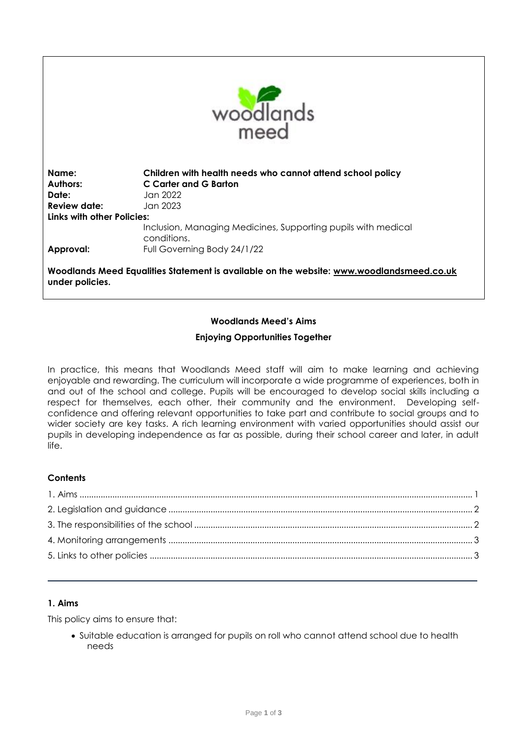

| Name:<br><b>Authors:</b><br>Date:<br>Review date: | Children with health needs who cannot attend school policy<br>C Carter and G Barton<br>Jan 2022<br>Jan 2023. |  |
|---------------------------------------------------|--------------------------------------------------------------------------------------------------------------|--|
| Links with other Policies:                        |                                                                                                              |  |
| Approval:                                         | Inclusion, Managing Medicines, Supporting pupils with medical<br>conditions.<br>Full Governing Body 24/1/22  |  |

**Woodlands Meed Equalities Statement is available on the website: [www.woodlandsmeed.co.uk](http://www.woodlandsmeed.co.uk/) under policies.**

# **Woodlands Meed's Aims**

## **Enjoying Opportunities Together**

In practice, this means that Woodlands Meed staff will aim to make learning and achieving enjoyable and rewarding. The curriculum will incorporate a wide programme of experiences, both in and out of the school and college. Pupils will be encouraged to develop social skills including a respect for themselves, each other, their community and the environment. Developing selfconfidence and offering relevant opportunities to take part and contribute to social groups and to wider society are key tasks. A rich learning environment with varied opportunities should assist our pupils in developing independence as far as possible, during their school career and later, in adult life.

### **Contents**

### <span id="page-0-0"></span>**1. Aims**

This policy aims to ensure that:

 Suitable education is arranged for pupils on roll who cannot attend school due to health needs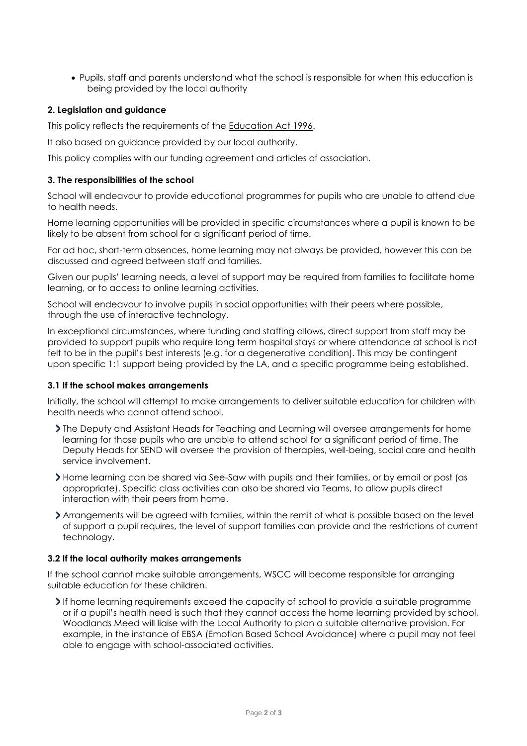Pupils, staff and parents understand what the school is responsible for when this education is being provided by the local authority

## <span id="page-1-0"></span>**2. Legislation and guidance**

This policy reflects the requirements of the [Education Act 1996.](http://www.legislation.gov.uk/ukpga/1996/56/section/19)

It also based on guidance provided by our local authority.

This policy complies with our funding agreement and articles of association.

#### <span id="page-1-1"></span>**3. The responsibilities of the school**

School will endeavour to provide educational programmes for pupils who are unable to attend due to health needs.

Home learning opportunities will be provided in specific circumstances where a pupil is known to be likely to be absent from school for a significant period of time.

For ad hoc, short-term absences, home learning may not always be provided, however this can be discussed and agreed between staff and families.

Given our pupils' learning needs, a level of support may be required from families to facilitate home learning, or to access to online learning activities.

School will endeavour to involve pupils in social opportunities with their peers where possible, through the use of interactive technology.

In exceptional circumstances, where funding and staffing allows, direct support from staff may be provided to support pupils who require long term hospital stays or where attendance at school is not felt to be in the pupil's best interests (e.g. for a degenerative condition). This may be contingent upon specific 1:1 support being provided by the LA, and a specific programme being established.

### **3.1 If the school makes arrangements**

Initially, the school will attempt to make arrangements to deliver suitable education for children with health needs who cannot attend school.

- If The Deputy and Assistant Heads for Teaching and Learning will oversee arrangements for home learning for those pupils who are unable to attend school for a significant period of time. The Deputy Heads for SEND will oversee the provision of therapies, well-being, social care and health service involvement.
- Home learning can be shared via See-Saw with pupils and their families, or by email or post (as appropriate). Specific class activities can also be shared via Teams, to allow pupils direct interaction with their peers from home.
- Arrangements will be agreed with families, within the remit of what is possible based on the level of support a pupil requires, the level of support families can provide and the restrictions of current technology.

### **3.2 If the local authority makes arrangements**

If the school cannot make suitable arrangements, WSCC will become responsible for arranging suitable education for these children.

If home learning requirements exceed the capacity of school to provide a suitable programme or if a pupil's health need is such that they cannot access the home learning provided by school, Woodlands Meed will liaise with the Local Authority to plan a suitable alternative provision. For example, in the instance of EBSA (Emotion Based School Avoidance) where a pupil may not feel able to engage with school-associated activities.